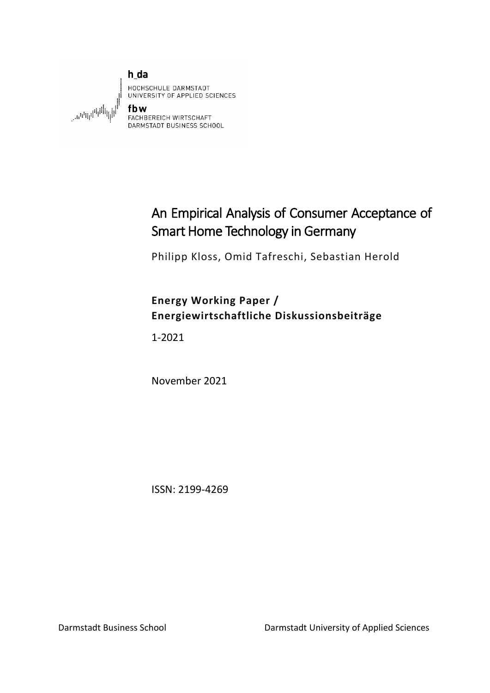

# An Empirical Analysis of Consumer Acceptance of Smart Home Technology in Germany

Philipp Kloss, Omid Tafreschi, Sebastian Herold

# **Energy Working Paper / Energiewirtschaftliche Diskussionsbeiträge**

1-2021

November 2021

ISSN: 2199-4269

Darmstadt Business School Darmstadt University of Applied Sciences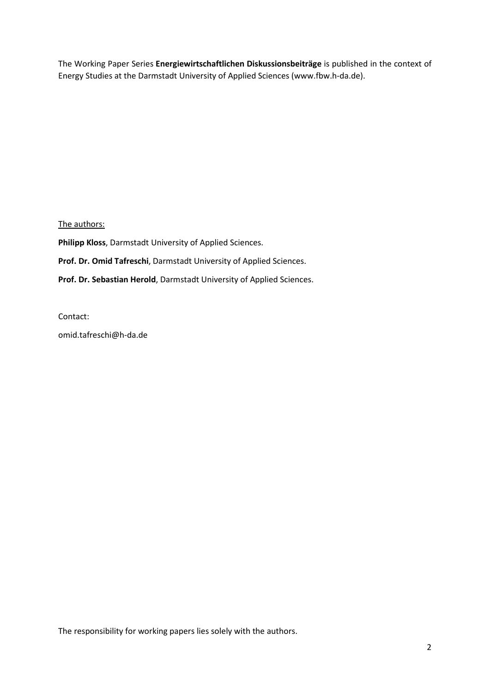The Working Paper Series **Energiewirtschaftlichen Diskussionsbeiträge** is published in the context of Energy Studies at the Darmstadt University of Applied Sciences (www.fbw.h-da.de).

The authors:

**Philipp Kloss**, Darmstadt University of Applied Sciences.

**Prof. Dr. Omid Tafreschi**, Darmstadt University of Applied Sciences.

**Prof. Dr. Sebastian Herold**, Darmstadt University of Applied Sciences.

Contact:

omid.tafreschi@h-da.de

The responsibility for working papers lies solely with the authors.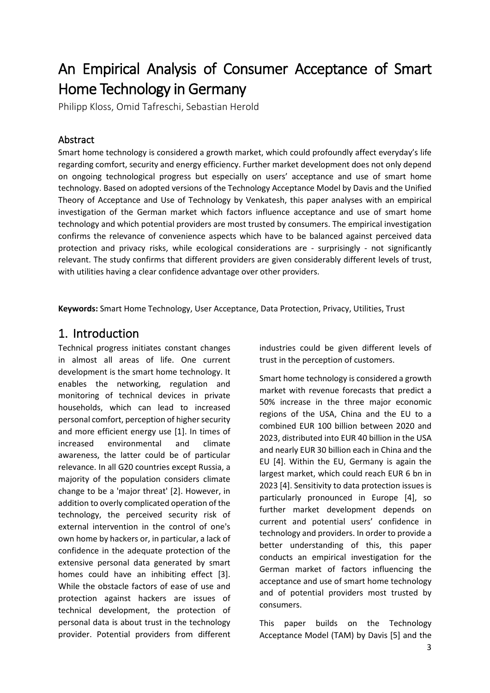# An Empirical Analysis of Consumer Acceptance of Smart **Home Technology in Germany**<br>Philipp Kloss, Omid Tafreschi, Sebastian Herold

#### Abstract

Smart home technology is considered a growth market, which could profoundly affect everyday's life regarding comfort, security and energy efficiency. Further market development does not only depend on ongoing technological progress but especially on users' acceptance and use of smart home technology. Based on adopted versions of the Technology Acceptance Model by Davis and the Unified Theory of Acceptance and Use of Technology by Venkatesh, this paper analyses with an empirical investigation of the German market which factors influence acceptance and use of smart home technology and which potential providers are most trusted by consumers. The empirical investigation confirms the relevance of convenience aspects which have to be balanced against perceived data protection and privacy risks, while ecological considerations are - surprisingly - not significantly relevant. The study confirms that different providers are given considerably different levels of trust, with utilities having a clear confidence advantage over other providers.

**Keywords:** Smart Home Technology, User Acceptance, Data Protection, Privacy, Utilities, Trust

## 1. Introduction

Technical progress initiates constant changes in almost all areas of life. One current development is the smart home technology. It enables the networking, regulation and monitoring of technical devices in private households, which can lead to increased personal comfort, perception of higher security and more efficient energy use [1]. In times of increased environmental and climate awareness, the latter could be of particular relevance. In all G20 countries except Russia, a majority of the population considers climate change to be a 'major threat' [2]. However, in addition to overly complicated operation of the technology, the perceived security risk of external intervention in the control of one's own home by hackers or, in particular, a lack of confidence in the adequate protection of the extensive personal data generated by smart homes could have an inhibiting effect [3]. While the obstacle factors of ease of use and protection against hackers are issues of technical development, the protection of personal data is about trust in the technology provider. Potential providers from different

industries could be given different levels of trust in the perception of customers.

Smart home technology is considered a growth market with revenue forecasts that predict a 50% increase in the three major economic regions of the USA, China and the EU to a combined EUR 100 billion between 2020 and 2023, distributed into EUR 40 billion in the USA and nearly EUR 30 billion each in China and the EU [4]. Within the EU, Germany is again the largest market, which could reach EUR 6 bn in 2023 [4]. Sensitivity to data protection issues is particularly pronounced in Europe [4], so further market development depends on current and potential users' confidence in technology and providers. In order to provide a better understanding of this, this paper conducts an empirical investigation for the German market of factors influencing the acceptance and use of smart home technology and of potential providers most trusted by consumers.

This paper builds on the Technology Acceptance Model (TAM) by Davis [5] and the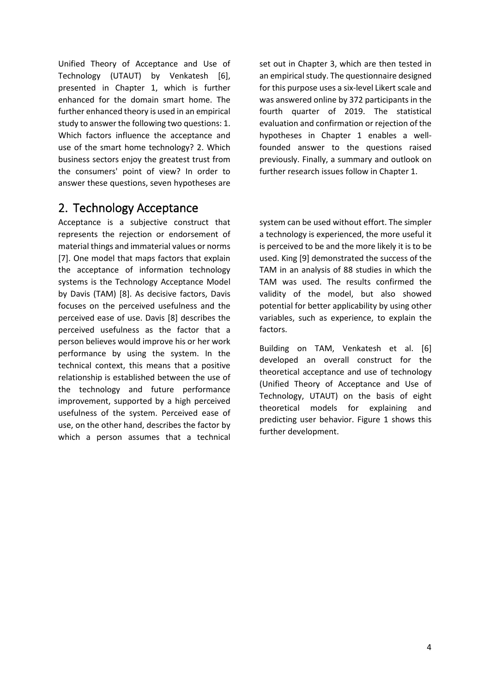Unified Theory of Acceptance and Use of Technology (UTAUT) by Venkatesh [6], presented in Chapter [1,](#page-3-0) which is further enhanced for the domain smart home. The further enhanced theory is used in an empirical study to answer the following two questions: 1. Which factors influence the acceptance and use of the smart home technology? 2. Which business sectors enjoy the greatest trust from the consumers' point of view? In order to answer these questions, seven hypotheses are

## 2. Technology Acceptance

Acceptance is a subjective construct that represents the rejection or endorsement of material things and immaterial values or norms [7]. One model that maps factors that explain the acceptance of information technology systems is the Technology Acceptance Model by Davis (TAM) [8]. As decisive factors, Davis focuses on the perceived usefulness and the perceived ease of use. Davis [8] describes the perceived usefulness as the factor that a person believes would improve his or her work performance by using the system. In the technical context, this means that a positive relationship is established between the use of the technology and future performance improvement, supported by a high perceived usefulness of the system. Perceived ease of use, on the other hand, describes the factor by which a person assumes that a technical

set out in Chapter [3,](#page-4-0) which are then tested in an empirical study. The questionnaire designed for this purpose uses a six-level Likert scale and was answered online by 372 participants in the fourth quarter of 2019. The statistical evaluation and confirmation or rejection of the hypotheses in Chapter [1](#page-6-0) enables a wellfounded answer to the questions raised previously. Finally, a summary and outlook on further research issues follow in Chapter [1.](#page-8-0)

<span id="page-3-0"></span>system can be used without effort. The simpler a technology is experienced, the more useful it is perceived to be and the more likely it is to be used. King [9] demonstrated the success of the TAM in an analysis of 88 studies in which the TAM was used. The results confirmed the validity of the model, but also showed potential for better applicability by using other variables, such as experience, to explain the factors.

Building on TAM, Venkatesh et al. [6] developed an overall construct for the theoretical acceptance and use of technology (Unified Theory of Acceptance and Use of Technology, UTAUT) on the basis of eight theoretical models for explaining and predicting user behavior. [Figure](#page-4-1) 1 shows this further development.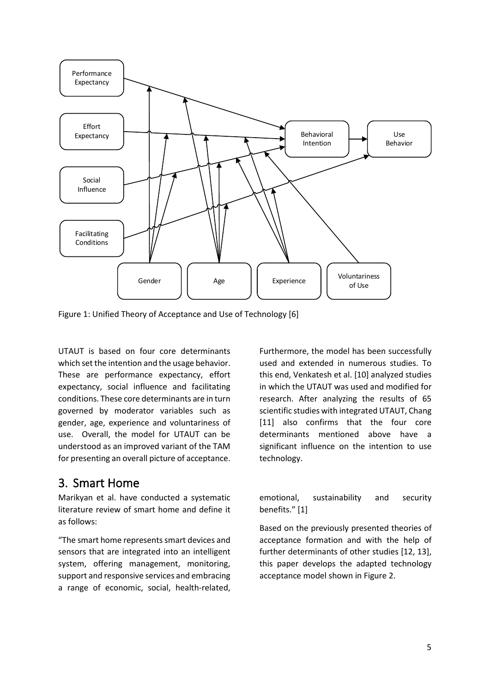

<span id="page-4-1"></span>Figure 1: Unified Theory of Acceptance and Use of Technology [6]

UTAUT is based on four core determinants which set the intention and the usage behavior. These are performance expectancy, effort expectancy, social influence and facilitating conditions. These core determinants are in turn governed by moderator variables such as gender, age, experience and voluntariness of use. Overall, the model for UTAUT can be understood as an improved variant of the TAM for presenting an overall picture of acceptance.

# <span id="page-4-0"></span>3. Smart Home

Marikyan et al. have conducted a systematic literature review of smart home and define it as follows:

"The smart home represents smart devices and sensors that are integrated into an intelligent system, offering management, monitoring, support and responsive services and embracing a range of economic, social, health-related, Furthermore, the model has been successfully used and extended in numerous studies. To this end, Venkatesh et al. [10] analyzed studies in which the UTAUT was used and modified for research. After analyzing the results of 65 scientific studies with integrated UTAUT, Chang [11] also confirms that the four core determinants mentioned above have a significant influence on the intention to use technology.

emotional, sustainability and security benefits." [1]

Based on the previously presented theories of acceptance formation and with the help of further determinants of other studies [12, 13], this paper develops the adapted technology acceptance model shown in [Figure 2.](#page-5-0)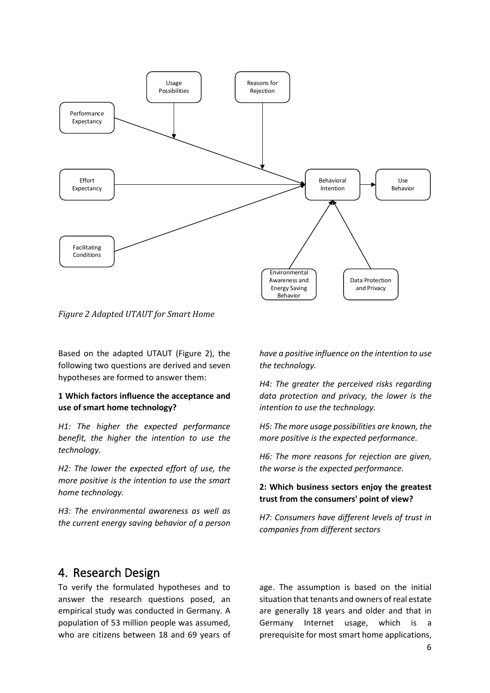

<span id="page-5-0"></span>*Figure 2 Adapted UTAUT for Smart Home*

Based on the adapted UTAUT [\(Figure 2\)](#page-5-0), the following two questions are derived and seven hypotheses are formed to answer them:

#### **1 Which factors influence the acceptance and use of smart home technology?**

*H1: The higher the expected performance benefit, the higher the intention to use the technology.*

*H2: The lower the expected effort of use, the more positive is the intention to use the smart home technology.* 

*H3: The environmental awareness as well as the current energy saving behavior of a person* 

*have a positive influence on the intention to use the technology.* 

*H4: The greater the perceived risks regarding data protection and privacy, the lower is the intention to use the technology.* 

*H5: The more usage possibilities are known, the more positive is the expected performance.* 

*H6: The more reasons for rejection are given, the worse is the expected performance.*

#### **2: Which business sectors enjoy the greatest trust from the consumers' point of view?**

*H7: Consumers have different levels of trust in companies from different sectors*

#### 4. Research Design

To verify the formulated hypotheses and to answer the research questions posed, an empirical study was conducted in Germany. A population of 53 million people was assumed, who are citizens between 18 and 69 years of

age. The assumption is based on the initial situation that tenants and owners of real estate are generally 18 years and older and that in Germany Internet usage, which is a prerequisite for most smart home applications,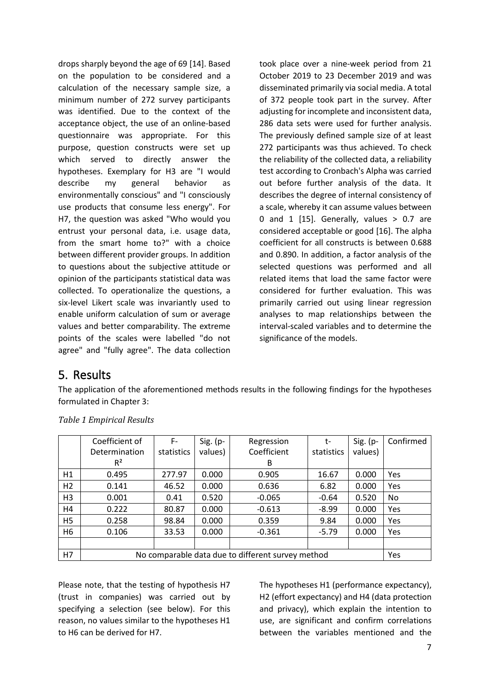drops sharply beyond the age of 69 [14]. Based on the population to be considered and a calculation of the necessary sample size, a minimum number of 272 survey participants was identified. Due to the context of the acceptance object, the use of an online-based questionnaire was appropriate. For this purpose, question constructs were set up which served to directly answer the hypotheses. Exemplary for H3 are "I would describe my general behavior as environmentally conscious" and "I consciously use products that consume less energy". For H7, the question was asked "Who would you entrust your personal data, i.e. usage data, from the smart home to?" with a choice between different provider groups. In addition to questions about the subjective attitude or opinion of the participants statistical data was collected. To operationalize the questions, a six-level Likert scale was invariantly used to enable uniform calculation of sum or average values and better comparability. The extreme points of the scales were labelled "do not agree" and "fully agree". The data collection took place over a nine-week period from 21 October 2019 to 23 December 2019 and was disseminated primarily via social media. A total of 372 people took part in the survey. After adjusting for incomplete and inconsistent data, 286 data sets were used for further analysis. The previously defined sample size of at least 272 participants was thus achieved. To check the reliability of the collected data, a reliability test according to Cronbach's Alpha was carried out before further analysis of the data. It describes the degree of internal consistency of a scale, whereby it can assume values between 0 and 1  $[15]$ . Generally, values  $> 0.7$  are considered acceptable or good [16]. The alpha coefficient for all constructs is between 0.688 and 0.890. In addition, a factor analysis of the selected questions was performed and all related items that load the same factor were considered for further evaluation. This was primarily carried out using linear regression analyses to map relationships between the interval-scaled variables and to determine the significance of the models.

# 5. Results

The application of the aforementioned methods results in the following findings for the hypotheses formulated in Chapter [3:](#page-4-0)

|                | Coefficient of                                    | F-         | $Sig. (p-$ | Regression  | t-         | $Sig. (p-$ | Confirmed |
|----------------|---------------------------------------------------|------------|------------|-------------|------------|------------|-----------|
|                | Determination                                     | statistics | values)    | Coefficient | statistics | values)    |           |
|                | R <sup>2</sup>                                    |            |            | B           |            |            |           |
| H1             | 0.495                                             | 277.97     | 0.000      | 0.905       | 16.67      | 0.000      | Yes       |
| H <sub>2</sub> | 0.141                                             | 46.52      | 0.000      | 0.636       | 6.82       | 0.000      | Yes       |
| H <sub>3</sub> | 0.001                                             | 0.41       | 0.520      | $-0.065$    | $-0.64$    | 0.520      | No        |
| H4             | 0.222                                             | 80.87      | 0.000      | $-0.613$    | $-8.99$    | 0.000      | Yes       |
| H <sub>5</sub> | 0.258                                             | 98.84      | 0.000      | 0.359       | 9.84       | 0.000      | Yes       |
| H6             | 0.106                                             | 33.53      | 0.000      | $-0.361$    | $-5.79$    | 0.000      | Yes       |
|                |                                                   |            |            |             |            |            |           |
| H7             | No comparable data due to different survey method |            |            |             |            |            | Yes       |

*Table 1 Empirical Results*

Please note, that the testing of hypothesis H7 (trust in companies) was carried out by specifying a selection (see below). For this reason, no values similar to the hypotheses H1 to H6 can be derived for H7.

<span id="page-6-0"></span>The hypotheses H1 (performance expectancy), H2 (effort expectancy) and H4 (data protection and privacy), which explain the intention to use, are significant and confirm correlations between the variables mentioned and the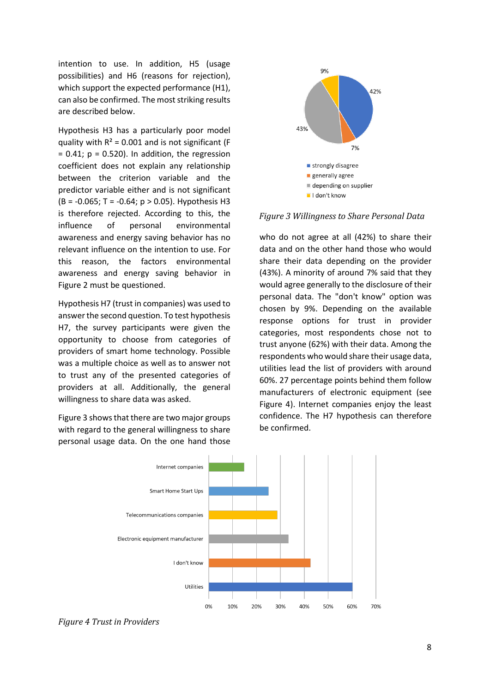intention to use. In addition, H5 (usage possibilities) and H6 (reasons for rejection), which support the expected performance (H1), can also be confirmed. The most striking results are described below.

Hypothesis H3 has a particularly poor model quality with  $R^2$  = 0.001 and is not significant (F  $= 0.41$ ;  $p = 0.520$ ). In addition, the regression coefficient does not explain any relationship between the criterion variable and the predictor variable either and is not significant  $(B = -0.065; T = -0.64; p > 0.05)$ . Hypothesis H3 is therefore rejected. According to this, the influence of personal environmental awareness and energy saving behavior has no relevant influence on the intention to use. For this reason, the factors environmental awareness and energy saving behavior in Figure 2 must be questioned.

Hypothesis H7 (trust in companies) was used to answer the second question. To test hypothesis H7, the survey participants were given the opportunity to choose from categories of providers of smart home technology. Possible was a multiple choice as well as to answer not to trust any of the presented categories of providers at all. Additionally, the general willingness to share data was asked.

[Figure 3](#page-7-0) shows that there are two major groups with regard to the general willingness to share personal usage data. On the one hand those



<span id="page-7-0"></span>*Figure 3 Willingness to Share Personal Data*

who do not agree at all (42%) to share their data and on the other hand those who would share their data depending on the provider (43%). A minority of around 7% said that they would agree generally to the disclosure of their personal data. The "don't know" option was chosen by 9%. Depending on the available response options for trust in provider categories, most respondents chose not to trust anyone (62%) with their data. Among the respondents who would share their usage data, utilities lead the list of providers with around 60%. 27 percentage points behind them follow manufacturers of electronic equipment (see [Figure 4\)](#page-7-1). Internet companies enjoy the least confidence. The H7 hypothesis can therefore be confirmed.



<span id="page-7-1"></span>*Figure 4 Trust in Providers*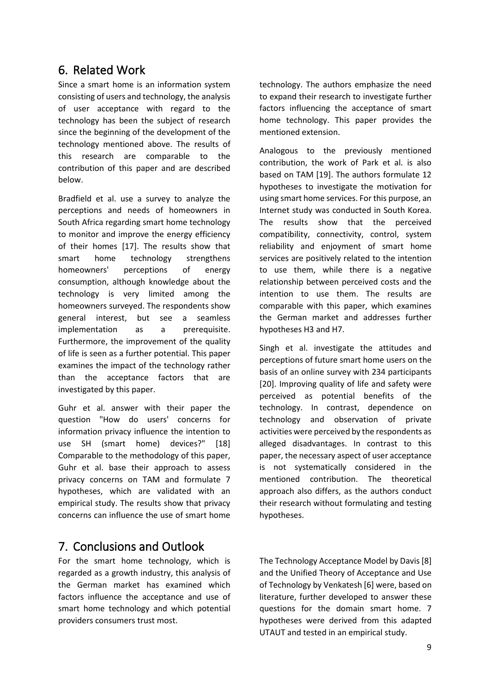# 6. Related Work

Since a smart home is an information system consisting of users and technology, the analysis of user acceptance with regard to the technology has been the subject of research since the beginning of the development of the technology mentioned above. The results of this research are comparable to the contribution of this paper and are described below.

Bradfield et al. use a survey to analyze the perceptions and needs of homeowners in South Africa regarding smart home technology to monitor and improve the energy efficiency of their homes [17]. The results show that smart home technology strengthens homeowners' perceptions of energy consumption, although knowledge about the technology is very limited among the homeowners surveyed. The respondents show general interest, but see a seamless implementation as a prerequisite. Furthermore, the improvement of the quality of life is seen as a further potential. This paper examines the impact of the technology rather than the acceptance factors that are investigated by this paper.

Guhr et al. answer with their paper the question "How do users' concerns for information privacy influence the intention to use SH (smart home) devices?" [18] Comparable to the methodology of this paper, Guhr et al. base their approach to assess privacy concerns on TAM and formulate 7 hypotheses, which are validated with an empirical study. The results show that privacy concerns can influence the use of smart home

# 7. Conclusions and Outlook

For the smart home technology, which is regarded as a growth industry, this analysis of the German market has examined which factors influence the acceptance and use of smart home technology and which potential providers consumers trust most.

technology. The authors emphasize the need to expand their research to investigate further factors influencing the acceptance of smart home technology. This paper provides the mentioned extension.

Analogous to the previously mentioned contribution, the work of Park et al. is also based on TAM [19]. The authors formulate 12 hypotheses to investigate the motivation for using smart home services. For this purpose, an Internet study was conducted in South Korea. The results show that the perceived compatibility, connectivity, control, system reliability and enjoyment of smart home services are positively related to the intention to use them, while there is a negative relationship between perceived costs and the intention to use them. The results are comparable with this paper, which examines the German market and addresses further hypotheses H3 and H7.

Singh et al. investigate the attitudes and perceptions of future smart home users on the basis of an online survey with 234 participants [20]. Improving quality of life and safety were perceived as potential benefits of the technology. In contrast, dependence on technology and observation of private activities were perceived by the respondents as alleged disadvantages. In contrast to this paper, the necessary aspect of user acceptance is not systematically considered in the mentioned contribution. The theoretical approach also differs, as the authors conduct their research without formulating and testing hypotheses.

<span id="page-8-0"></span>The Technology Acceptance Model by Davis [8] and the Unified Theory of Acceptance and Use of Technology by Venkatesh [6] were, based on literature, further developed to answer these questions for the domain smart home. 7 hypotheses were derived from this adapted UTAUT and tested in an empirical study.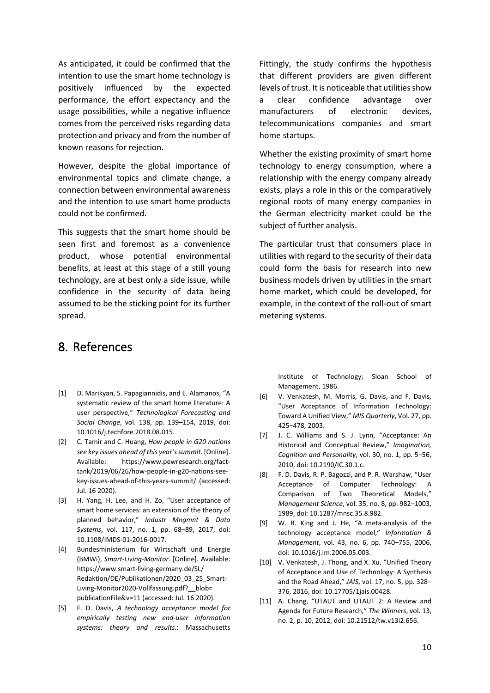As anticipated, it could be confirmed that the intention to use the smart home technology is positively influenced by the expected performance, the effort expectancy and the usage possibilities, while a negative influence comes from the perceived risks regarding data protection and privacy and from the number of known reasons for rejection.

However, despite the global importance of environmental topics and climate change, a connection between environmental awareness and the intention to use smart home products could not be confirmed.

This suggests that the smart home should be seen first and foremost as a convenience product, whose potential environmental benefits, at least at this stage of a still young technology, are at best only a side issue, while confidence in the security of data being assumed to be the sticking point for its further spread.

### 8. References

- [1] D. Marikyan, S. Papagiannidis, and E. Alamanos, "A systematic review of the smart home literature: A user perspective," *Technological Forecasting and Social Change*, vol. 138, pp. 139–154, 2019, doi: 10.1016/j.techfore.2018.08.015.
- [2] C. Tamir and C. Huang, *How people in G20 nations see key issues ahead of this year's summit.* [Online]. Available: https://www.pewresearch.org/facttank/2019/06/26/how-people-in-g20-nations-seekey-issues-ahead-of-this-years-summit/ (accessed: Jul. 16 2020).
- [3] H. Yang, H. Lee, and H. Zo, "User acceptance of smart home services: an extension of the theory of planned behavior," *Industr Mngmnt & Data Systems*, vol. 117, no. 1, pp. 68–89, 2017, doi: 10.1108/IMDS-01-2016-0017.
- [4] Bundesministerium für Wirtschaft und Energie (BMWi), *Smart-Living-Monitor.* [Online]. Available: https://www.smart-living-germany.de/SL/ Redaktion/DE/Publikationen/2020\_03\_25\_Smart-Living-Monitor2020-Vollfassung.pdf? blob= publicationFile&v=11 (accessed: Jul. 16 2020).
- [5] F. D. Davis, *A technology acceptance model for empirically testing new end-user information systems: theory and results.*: Massachusetts

Fittingly, the study confirms the hypothesis that different providers are given different levels of trust. It is noticeable that utilities show a clear confidence advantage over manufacturers of electronic devices, telecommunications companies and smart home startups.

Whether the existing proximity of smart home technology to energy consumption, where a relationship with the energy company already exists, plays a role in this or the comparatively regional roots of many energy companies in the German electricity market could be the subject of further analysis.

The particular trust that consumers place in utilities with regard to the security of their data could form the basis for research into new business models driven by utilities in the smart home market, which could be developed, for example, in the context of the roll-out of smart metering systems.

> Institute of Technology; Sloan School of Management, 1986.

- [6] V. Venkatesh, M. Morris, G. Davis, and F. Davis, "User Acceptance of Information Technology: Toward A Unified View," *MIS Quarterly*, Vol. 27, pp. 425–478, 2003.
- [7] J. C. Williams and S. J. Lynn, "Acceptance: An Historical and Conceptual Review," *Imagination, Cognition and Personality*, vol. 30, no. 1, pp. 5–56, 2010, doi: 10.2190/IC.30.1.c.
- [8] F. D. Davis, R. P. Bagozzi, and P. R. Warshaw, "User Acceptance of Computer Technology: A Comparison of Two Theoretical Models," *Management Science*, vol. 35, no. 8, pp. 982–1003, 1989, doi: 10.1287/mnsc.35.8.982.
- [9] W. R. King and J. He, "A meta-analysis of the technology acceptance model," *Information & Management*, vol. 43, no. 6, pp. 740–755, 2006, doi: 10.1016/j.im.2006.05.003.
- [10] V. Venkatesh, J. Thong, and X. Xu, "Unified Theory of Acceptance and Use of Technology: A Synthesis and the Road Ahead," *JAIS*, vol. 17, no. 5, pp. 328– 376, 2016, doi: 10.17705/1jais.00428.
- [11] A. Chang, "UTAUT and UTAUT 2: A Review and Agenda for Future Research," *The Winners*, vol. 13, no. 2, p. 10, 2012, doi: 10.21512/tw.v13i2.656.